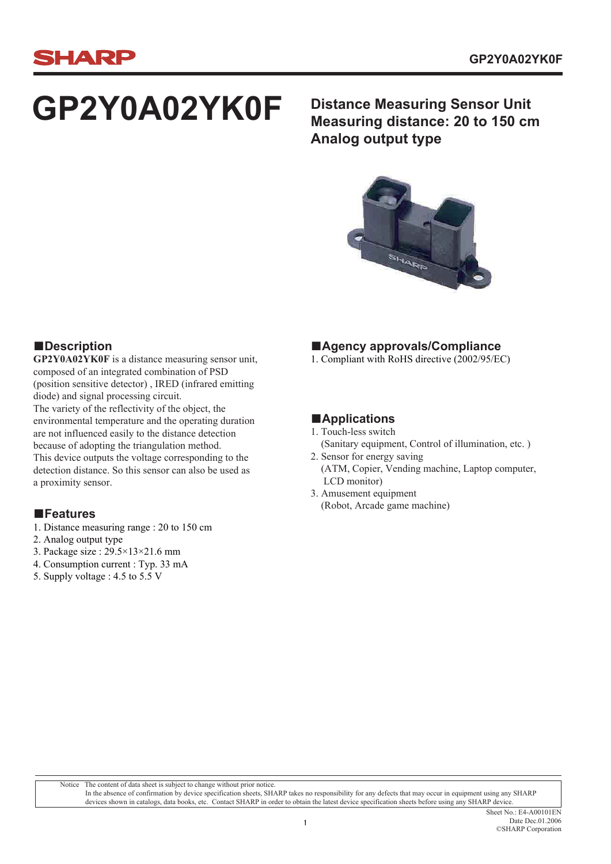

# **GP2Y0A02YK0F**

**Distance Measuring Sensor Unit Measuring distance: 20 to 150 cm Analog output type**



#### **■Description**

**GP2Y0A02YK0F** is a distance measuring sensor unit, composed of an integrated combination of PSD (position sensitive detector) , IRED (infrared emitting diode) and signal processing circuit. The variety of the reflectivity of the object, the environmental temperature and the operating duration are not influenced easily to the distance detection because of adopting the triangulation method. This device outputs the voltage corresponding to the detection distance. So this sensor can also be used as a proximity sensor.

- 1. Distance measuring range : 20 to 150 cm
- 2. Analog output type
- 3. Package size : 29.5×13×21.6 mm
- 4. Consumption current : Typ. 33 mA
- 5. Supply voltage : 4.5 to 5.5 V

#### **■Agency approvals/Compliance**

1. Compliant with RoHS directive (2002/95/EC)

#### **■Applications**

- 1. Touch-less switch
- (Sanitary equipment, Control of illumination, etc. )
- 2. Sensor for energy saving (ATM, Copier, Vending machine, Laptop computer, LCD monitor)
- 3. Amusement equipment ■**Features** ■<br>■

Notice The content of data sheet is subject to change without prior notice. In the absence of confirmation by device specification sheets, SHARP takes no responsibility for any defects that may occur in equipment using any SHARP devices shown in catalogs, data books, etc. Contact SHARP in order to obtain the latest device specification sheets before using any SHARP device.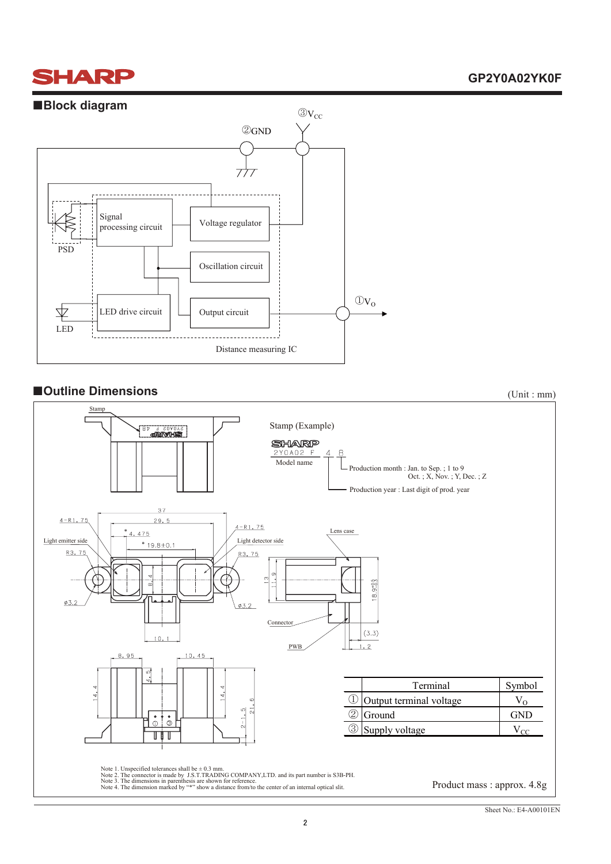## **SHARP**

#### **GP2Y0A02YK0F**



#### ■ **■Outline Dimensions** (Unit : mm)

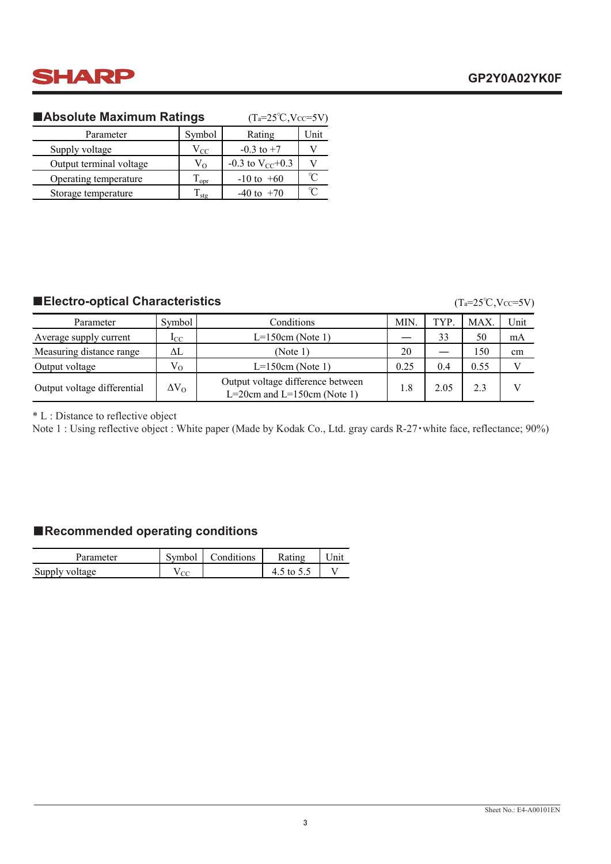

#### **■Absolute Maximum Ratings**

| ■Absolute Maximum Ratings | $(T_a=25\text{°C}, V_{CC}=5V)$ |                        |          |
|---------------------------|--------------------------------|------------------------|----------|
| Parameter                 | Symbol                         | Rating                 | Unit     |
| Supply voltage            | $V_{CC}$                       | $-0.3$ to $+7$         |          |
| Output terminal voltage   | $V_{\Omega}$                   | $-0.3$ to $V_{CC}+0.3$ |          |
| Operating temperature     | $\rm T_{\rm opr}$              | $-10$ to $+60$         | $\gamma$ |
| Storage temperature       | $\Gamma_{\text{stg}}$          | $-40$ to $+70$         |          |

#### **■Electro-optical Characteristics**

#### $(T_a=25^{\circ}C, Vcc=5V)$

| Parameter                   | Symbol       | Conditions                                                       | <b>MIN</b> | TYP  | <b>MAX</b> | Unit |
|-----------------------------|--------------|------------------------------------------------------------------|------------|------|------------|------|
| Average supply current      | $_{\rm{LC}}$ | $L=150cm$ (Note 1)                                               |            | 33   | 50         | mA   |
| Measuring distance range    | ΔL           | (Note 1)                                                         | 20         |      | 150        | cm   |
| Output voltage              | $V_{O}$      | $L=150cm$ (Note 1)                                               | 0.25       | 0.4  | 0.55       |      |
| Output voltage differential | $\Delta V_O$ | Output voltage difference between<br>L=20cm and L=150cm (Note 1) | 1.8        | 2.05 | 2.3        |      |

\* L : Distance to reflective object

Note 1 : Using reflective object : White paper (Made by Kodak Co., Ltd. gray cards R-27・white face, reflectance; 90%)

#### ■**Recommended operating conditions**

| Parameter      | Symbol | Conditions |            | <sup>•</sup> Init |
|----------------|--------|------------|------------|-------------------|
| Supply voltage | CO     |            | 4.5 to 5.5 |                   |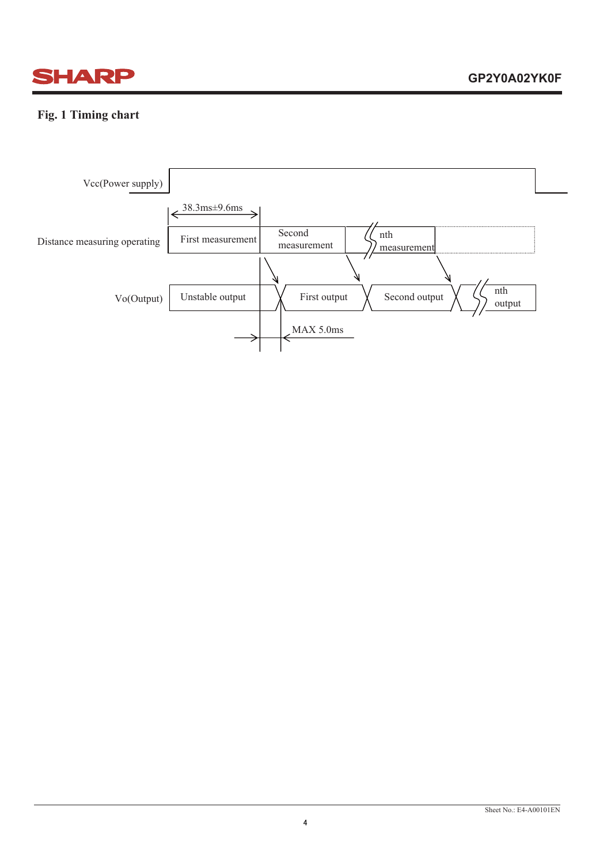

#### **Fig. 1 Timing chart**

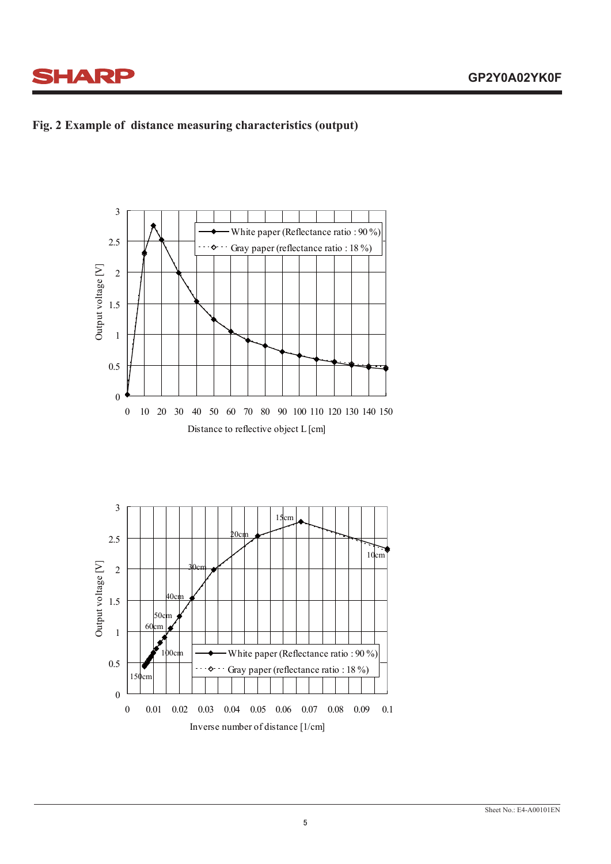





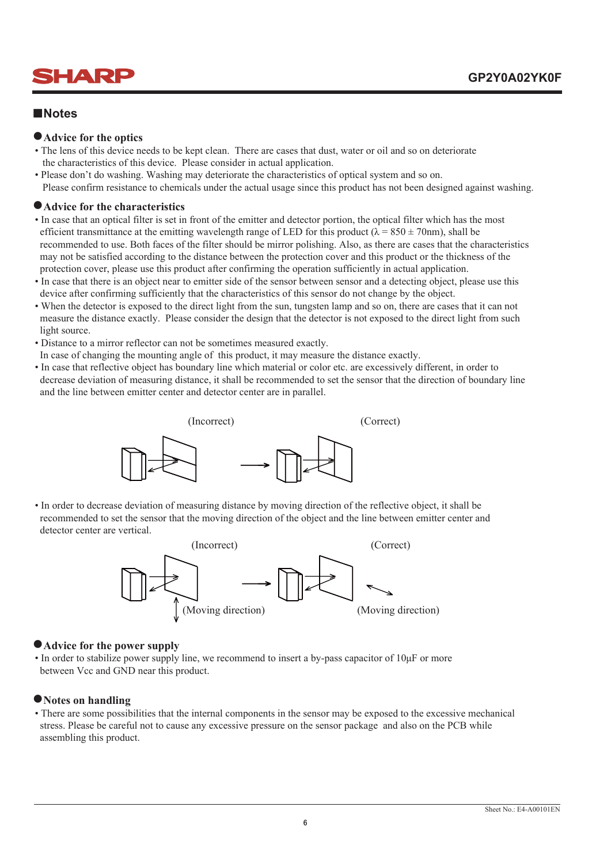

#### **■Notes**

#### **●Advice for the optics**

- The lens of this device needs to be kept clean. There are cases that dust, water or oil and so on deteriorate the characteristics of this device. Please consider in actual application.
- Please don't do washing. Washing may deteriorate the characteristics of optical system and so on. Please confirm resistance to chemicals under the actual usage since this product has not been designed against washing.

#### **●Advice for the characteristics**

- In case that an optical filter is set in front of the emitter and detector portion, the optical filter which has the most efficient transmittance at the emitting wavelength range of LED for this product ( $\lambda = 850 \pm 70$ nm), shall be recommended to use. Both faces of the filter should be mirror polishing. Also, as there are cases that the characteristics may not be satisfied according to the distance between the protection cover and this product or the thickness of the protection cover, please use this product after confirming the operation sufficiently in actual application.
- In case that there is an object near to emitter side of the sensor between sensor and a detecting object, please use this device after confirming sufficiently that the characteristics of this sensor do not change by the object.
- When the detector is exposed to the direct light from the sun, tungsten lamp and so on, there are cases that it can not measure the distance exactly. Please consider the design that the detector is not exposed to the direct light from such light source.
- Distance to a mirror reflector can not be sometimes measured exactly.
- In case of changing the mounting angle of this product, it may measure the distance exactly.
- In case that reflective object has boundary line which material or color etc. are excessively different, in order to decrease deviation of measuring distance, it shall be recommended to set the sensor that the direction of boundary line and the line between emitter center and detector center are in parallel.



 • In order to decrease deviation of measuring distance by moving direction of the reflective object, it shall be recommended to set the sensor that the moving direction of the object and the line between emitter center and detector center are vertical.



#### **●Advice for the power supply**

• In order to stabilize power supply line, we recommend to insert a by-pass capacitor of 10<sub>H</sub>F or more between Vcc and GND near this product.

#### **●Notes on handling**

 • There are some possibilities that the internal components in the sensor may be exposed to the excessive mechanical stress. Please be careful not to cause any excessive pressure on the sensor package and also on the PCB while assembling this product.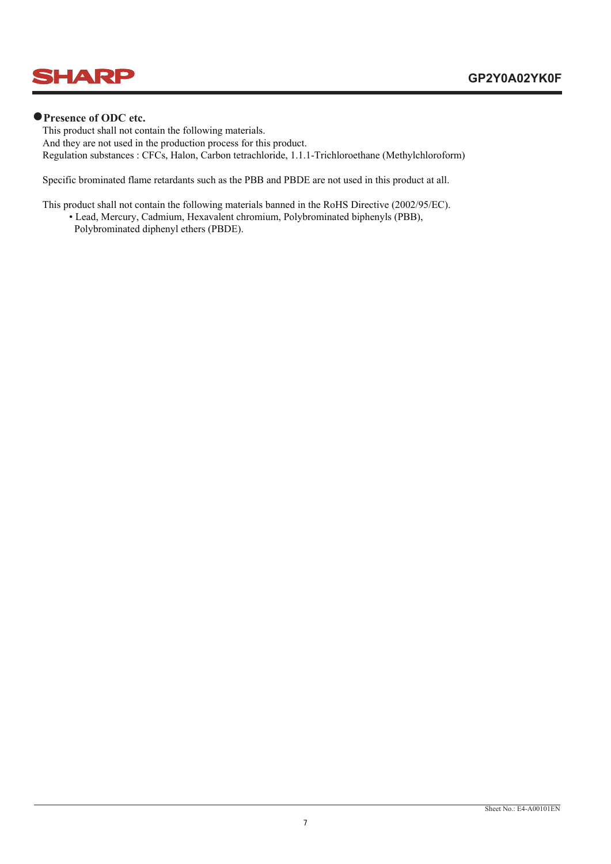

#### **●Presence of ODC etc.**

 This product shall not contain the following materials. And they are not used in the production process for this product. Regulation substances : CFCs, Halon, Carbon tetrachloride, 1.1.1-Trichloroethane (Methylchloroform)

Specific brominated flame retardants such as the PBB and PBDE are not used in this product at all.

This product shall not contain the following materials banned in the RoHS Directive (2002/95/EC).

• Lead, Mercury, Cadmium, Hexavalent chromium, Polybrominated biphenyls (PBB),

Polybrominated diphenyl ethers (PBDE).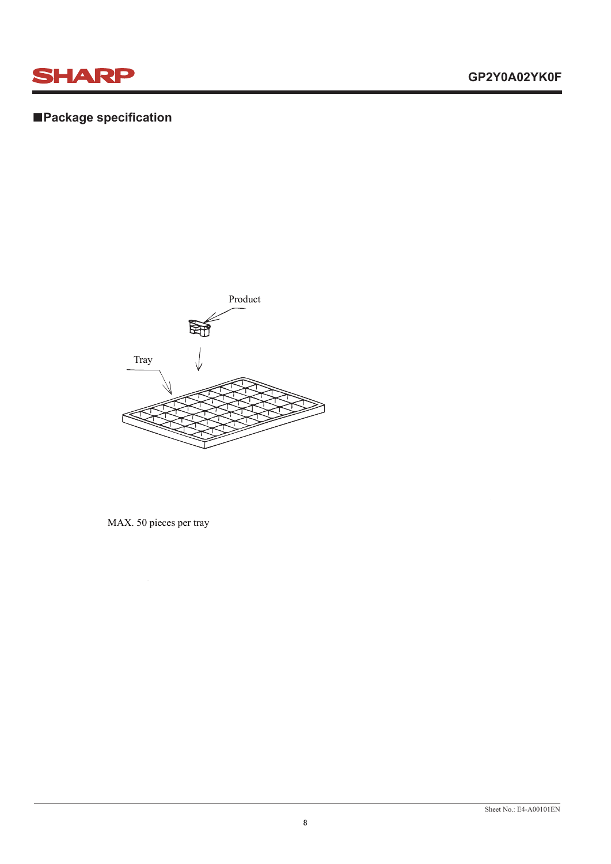

### **■Package specification**



MAX. 50 pieces per tray